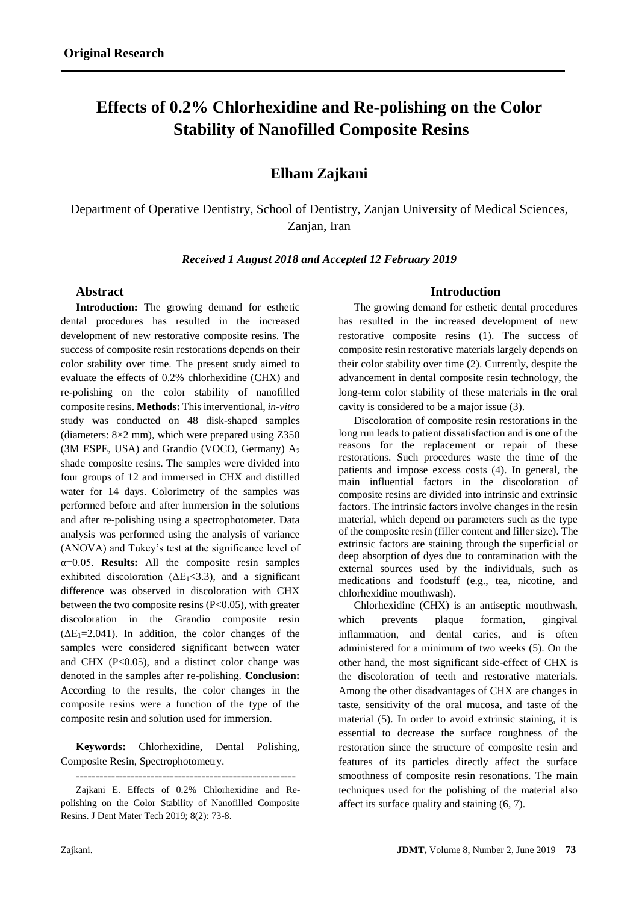# **Effects of 0.2% Chlorhexidine and Re-polishing on the Color Stability of Nanofilled Composite Resins**

## **Elham Zajkani**

Department of Operative Dentistry, School of Dentistry, Zanjan University of Medical Sciences, Zanjan, Iran

*Received 1 August 2018 and Accepted 12 February 2019*

#### **Abstract**

**Introduction:** The growing demand for esthetic dental procedures has resulted in the increased development of new restorative composite resins. The success of composite resin restorations depends on their color stability over time. The present study aimed to evaluate the effects of 0.2% chlorhexidine (CHX) and re-polishing on the color stability of nanofilled composite resins. **Methods:** This interventional, *in-vitro* study was conducted on 48 disk-shaped samples (diameters: 8×2 mm), which were prepared using Z350 (3M ESPE, USA) and Grandio (VOCO, Germany) A<sup>2</sup> shade composite resins. The samples were divided into four groups of 12 and immersed in CHX and distilled water for 14 days. Colorimetry of the samples was performed before and after immersion in the solutions and after re-polishing using a spectrophotometer. Data analysis was performed using the analysis of variance (ANOVA) and Tukey's test at the significance level of α=0.05. **Results:** All the composite resin samples exhibited discoloration ( $\Delta E_1 < 3.3$ ), and a significant difference was observed in discoloration with CHX between the two composite resins  $(P<0.05)$ , with greater discoloration in the Grandio composite resin  $(\Delta E_1 = 2.041)$ . In addition, the color changes of the samples were considered significant between water and CHX  $(P<0.05)$ , and a distinct color change was denoted in the samples after re-polishing. **Conclusion:** According to the results, the color changes in the composite resins were a function of the type of the composite resin and solution used for immersion.

**Keywords:** Chlorhexidine, Dental Polishing, Composite Resin, Spectrophotometry.

Zajkani E. Effects of 0.2% Chlorhexidine and Repolishing on the Color Stability of Nanofilled Composite Resins. J Dent Mater Tech 2019; 8(2): 73-8.

#### **Introduction**

The growing demand for esthetic dental procedures has resulted in the increased development of new restorative composite resins (1). The success of composite resin restorative materials largely depends on their color stability over time (2). Currently, despite the advancement in dental composite resin technology, the long-term color stability of these materials in the oral cavity is considered to be a major issue (3).

Discoloration of composite resin restorations in the long run leads to patient dissatisfaction and is one of the reasons for the replacement or repair of these restorations. Such procedures waste the time of the patients and impose excess costs (4). In general, the main influential factors in the discoloration of composite resins are divided into intrinsic and extrinsic factors. The intrinsic factors involve changes in the resin material, which depend on parameters such as the type of the composite resin (filler content and filler size). The extrinsic factors are staining through the superficial or deep absorption of dyes due to contamination with the external sources used by the individuals, such as medications and foodstuff (e.g., tea, nicotine, and chlorhexidine mouthwash).

Chlorhexidine (CHX) is an antiseptic mouthwash, which prevents plaque formation, gingival inflammation, and dental caries, and is often administered for a minimum of two weeks (5). On the other hand, the most significant side-effect of CHX is the discoloration of teeth and restorative materials. Among the other disadvantages of CHX are changes in taste, sensitivity of the oral mucosa, and taste of the material (5). In order to avoid extrinsic staining, it is essential to decrease the surface roughness of the restoration since the structure of composite resin and features of its particles directly affect the surface smoothness of composite resin resonations. The main techniques used for the polishing of the material also affect its surface quality and staining (6, 7).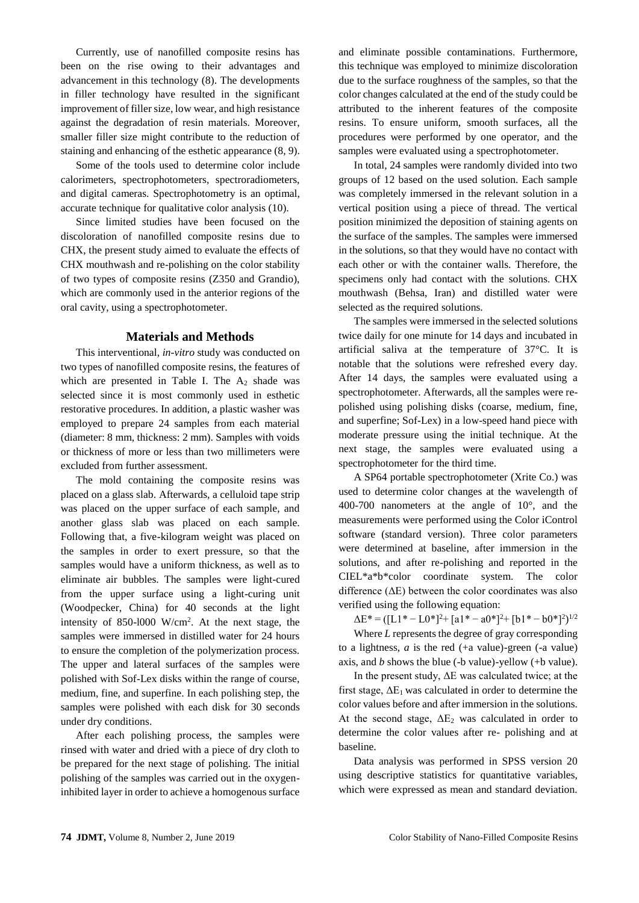Currently, use of nanofilled composite resins has been on the rise owing to their advantages and advancement in this technology (8). The developments in filler technology have resulted in the significant improvement of filler size, low wear, and high resistance against the degradation of resin materials. Moreover, smaller filler size might contribute to the reduction of staining and enhancing of the esthetic appearance (8, 9).

Some of the tools used to determine color include calorimeters, spectrophotometers, spectroradiometers, and digital cameras. Spectrophotometry is an optimal, accurate technique for qualitative color analysis (10).

Since limited studies have been focused on the discoloration of nanofilled composite resins due to CHX, the present study aimed to evaluate the effects of CHX mouthwash and re-polishing on the color stability of two types of composite resins (Z350 and Grandio), which are commonly used in the anterior regions of the oral cavity, using a spectrophotometer.

#### **Materials and Methods**

This interventional, *in-vitro* study was conducted on two types of nanofilled composite resins, the features of which are presented in Table I. The  $A_2$  shade was selected since it is most commonly used in esthetic restorative procedures. In addition, a plastic washer was employed to prepare 24 samples from each material (diameter: 8 mm, thickness: 2 mm). Samples with voids or thickness of more or less than two millimeters were excluded from further assessment.

The mold containing the composite resins was placed on a glass slab. Afterwards, a celluloid tape strip was placed on the upper surface of each sample, and another glass slab was placed on each sample. Following that, a five-kilogram weight was placed on the samples in order to exert pressure, so that the samples would have a uniform thickness, as well as to eliminate air bubbles. The samples were light-cured from the upper surface using a light-curing unit (Woodpecker, China) for 40 seconds at the light intensity of 850-l000 W/cm<sup>2</sup> . At the next stage, the samples were immersed in distilled water for 24 hours to ensure the completion of the polymerization process. The upper and lateral surfaces of the samples were polished with Sof-Lex disks within the range of course, medium, fine, and superfine. In each polishing step, the samples were polished with each disk for 30 seconds under dry conditions.

After each polishing process, the samples were rinsed with water and dried with a piece of dry cloth to be prepared for the next stage of polishing. The initial polishing of the samples was carried out in the oxygeninhibited layer in order to achieve a homogenous surface

and eliminate possible contaminations. Furthermore, this technique was employed to minimize discoloration due to the surface roughness of the samples, so that the color changes calculated at the end of the study could be attributed to the inherent features of the composite resins. To ensure uniform, smooth surfaces, all the procedures were performed by one operator, and the samples were evaluated using a spectrophotometer.

In total, 24 samples were randomly divided into two groups of 12 based on the used solution. Each sample was completely immersed in the relevant solution in a vertical position using a piece of thread. The vertical position minimized the deposition of staining agents on the surface of the samples. The samples were immersed in the solutions, so that they would have no contact with each other or with the container walls. Therefore, the specimens only had contact with the solutions. CHX mouthwash (Behsa, Iran) and distilled water were selected as the required solutions.

The samples were immersed in the selected solutions twice daily for one minute for 14 days and incubated in artificial saliva at the temperature of 37°C. It is notable that the solutions were refreshed every day. After 14 days, the samples were evaluated using a spectrophotometer. Afterwards, all the samples were repolished using polishing disks (coarse, medium, fine, and superfine; Sof-Lex) in a low-speed hand piece with moderate pressure using the initial technique. At the next stage, the samples were evaluated using a spectrophotometer for the third time.

A SP64 portable spectrophotometer (Xrite Co.) was used to determine color changes at the wavelength of 400-700 nanometers at the angle of 10°, and the measurements were performed using the Color iControl software (standard version). Three color parameters were determined at baseline, after immersion in the solutions, and after re-polishing and reported in the CIEL\*a\*b\*color coordinate system. The color difference  $(\Delta E)$  between the color coordinates was also verified using the following equation:

 $\Delta E^* = ([L1^* - L0^*]^2 + [a1^* - a0^*]^2 + [b1^* - b0^*]^2)^{1/2}$ 

Where *L* represents the degree of gray corresponding to a lightness,  $a$  is the red  $(+a \text{ value})$ -green  $(-a \text{ value})$ axis, and *b* shows the blue (-b value)-yellow (+b value).

In the present study, ΔE was calculated twice; at the first stage,  $\Delta E_1$  was calculated in order to determine the color values before and after immersion in the solutions. At the second stage,  $\Delta E_2$  was calculated in order to determine the color values after re- polishing and at baseline.

Data analysis was performed in SPSS version 20 using descriptive statistics for quantitative variables, which were expressed as mean and standard deviation.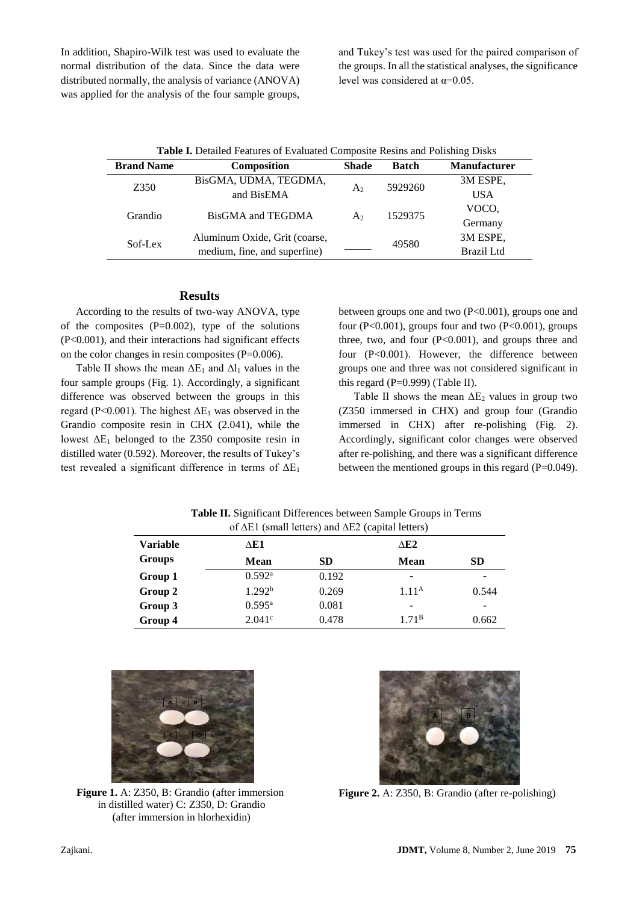In addition, Shapiro-Wilk test was used to evaluate the normal distribution of the data. Since the data were distributed normally, the analysis of variance (ANOVA) was applied for the analysis of the four sample groups,

and Tukey's test was used for the paired comparison of the groups. In all the statistical analyses, the significance level was considered at  $\alpha$ =0.05.

| <b>Table I.</b> Detailed Features of Evaluated Composite Resins and Polishing Disks |                               |                |              |                     |  |  |  |
|-------------------------------------------------------------------------------------|-------------------------------|----------------|--------------|---------------------|--|--|--|
| <b>Brand Name</b>                                                                   | Composition                   | <b>Shade</b>   | <b>Batch</b> | <b>Manufacturer</b> |  |  |  |
| Z350                                                                                | BisGMA, UDMA, TEGDMA,         |                | 5929260      | 3M ESPE,            |  |  |  |
|                                                                                     | and BisEMA                    | A <sub>2</sub> |              | <b>USA</b>          |  |  |  |
| Grandio                                                                             | BisGMA and TEGDMA             | A2             | 1529375      | VOCO.               |  |  |  |
|                                                                                     |                               |                |              | Germany             |  |  |  |
| Sof-Lex                                                                             | Aluminum Oxide, Grit (coarse, |                |              | 3M ESPE,            |  |  |  |
|                                                                                     | medium, fine, and superfine)  |                | 49580        | Brazil Ltd          |  |  |  |

#### **Results**

According to the results of two-way ANOVA, type of the composites  $(P=0.002)$ , type of the solutions (P<0.001), and their interactions had significant effects on the color changes in resin composites (P=0.006).

Table II shows the mean  $\Delta E_1$  and  $\Delta l_1$  values in the four sample groups (Fig. 1). Accordingly, a significant difference was observed between the groups in this regard (P<0.001). The highest  $\Delta E_1$  was observed in the Grandio composite resin in CHX (2.041), while the lowest  $\Delta E_1$  belonged to the Z350 composite resin in distilled water (0.592). Moreover, the results of Tukey's test revealed a significant difference in terms of  $\Delta E_1$ 

between groups one and two  $(P<0.001)$ , groups one and four (P<0.001), groups four and two (P<0.001), groups three, two, and four  $(P<0.001)$ , and groups three and four (P<0.001). However, the difference between groups one and three was not considered significant in this regard ( $P=0.999$ ) (Table II).

Table II shows the mean  $\Delta E_2$  values in group two (Z350 immersed in CHX) and group four (Grandio immersed in CHX) after re-polishing (Fig. 2). Accordingly, significant color changes were observed after re-polishing, and there was a significant difference between the mentioned groups in this regard (P=0.049).

| of $\Delta E1$ (small letters) and $\Delta E2$ (capital letters) |                    |           |                   |           |  |  |  |
|------------------------------------------------------------------|--------------------|-----------|-------------------|-----------|--|--|--|
| <b>Variable</b>                                                  | ΔE1                |           | AE2               |           |  |  |  |
| Groups                                                           | <b>Mean</b>        | <b>SD</b> | <b>Mean</b>       | <b>SD</b> |  |  |  |
| Group 1                                                          | 0.592 <sup>a</sup> | 0.192     |                   |           |  |  |  |
| Group 2                                                          | 1.292 <sup>b</sup> | 0.269     | 1.11 <sup>A</sup> | 0.544     |  |  |  |
| Group 3                                                          | $0.595^{\text{a}}$ | 0.081     |                   |           |  |  |  |
| Group 4                                                          | $2.041^{\circ}$    | 0.478     | 1.71 <sup>B</sup> | 0.662     |  |  |  |

**Table II.** Significant Differences between Sample Groups in Terms



**Figure 1.** A: Z350, B: Grandio (after immersion in distilled water) C: Z350, D: Grandio (after immersion in hlorhexidin)



**Figure 2.** A: Z350, B: Grandio (after re-polishing)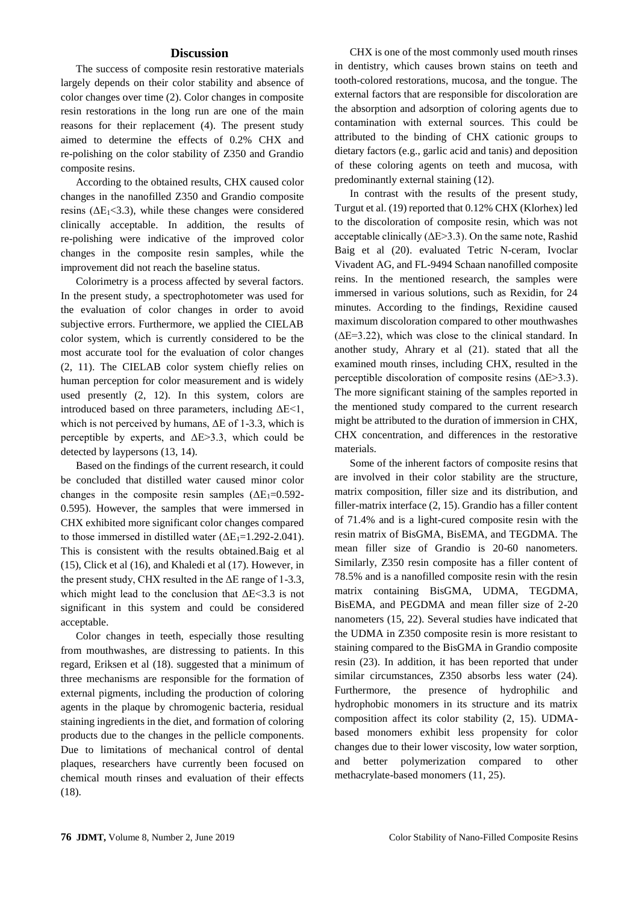### **Discussion**

The success of composite resin restorative materials largely depends on their color stability and absence of color changes over time (2). Color changes in composite resin restorations in the long run are one of the main reasons for their replacement (4). The present study aimed to determine the effects of 0.2% CHX and re-polishing on the color stability of Z350 and Grandio composite resins.

According to the obtained results, CHX caused color changes in the nanofilled Z350 and Grandio composite resins ( $\Delta E_1 < 3.3$ ), while these changes were considered clinically acceptable. In addition, the results of re-polishing were indicative of the improved color changes in the composite resin samples, while the improvement did not reach the baseline status.

Colorimetry is a process affected by several factors. In the present study, a spectrophotometer was used for the evaluation of color changes in order to avoid subjective errors. Furthermore, we applied the CIELAB color system, which is currently considered to be the most accurate tool for the evaluation of color changes (2, 11). The CIELAB color system chiefly relies on human perception for color measurement and is widely used presently (2, 12). In this system, colors are introduced based on three parameters, including  $\Delta E < 1$ , which is not perceived by humans,  $\Delta E$  of 1-3.3, which is perceptible by experts, and  $\Delta E > 3.3$ , which could be detected by laypersons (13, 14).

Based on the findings of the current research, it could be concluded that distilled water caused minor color changes in the composite resin samples  $(\Delta E_1=0.592$ -0.595). However, the samples that were immersed in CHX exhibited more significant color changes compared to those immersed in distilled water  $(\Delta E_1=1.292-2.041)$ . This is consistent with the results obtained.Baig et al (15), Click et al (16), and Khaledi et al (17). However, in the present study, CHX resulted in the  $\Delta E$  range of 1-3.3, which might lead to the conclusion that  $\Delta E \leq 3.3$  is not significant in this system and could be considered acceptable.

Color changes in teeth, especially those resulting from mouthwashes, are distressing to patients. In this regard, Eriksen et al (18). suggested that a minimum of three mechanisms are responsible for the formation of external pigments, including the production of coloring agents in the plaque by chromogenic bacteria, residual staining ingredients in the diet, and formation of coloring products due to the changes in the pellicle components. Due to limitations of mechanical control of dental plaques, researchers have currently been focused on chemical mouth rinses and evaluation of their effects (18).

CHX is one of the most commonly used mouth rinses in dentistry, which causes brown stains on teeth and tooth-colored restorations, mucosa, and the tongue. The external factors that are responsible for discoloration are the absorption and adsorption of coloring agents due to contamination with external sources. This could be attributed to the binding of CHX cationic groups to dietary factors (e.g., garlic acid and tanis) and deposition of these coloring agents on teeth and mucosa, with predominantly external staining (12).

In contrast with the results of the present study, Turgut et al. (19) reported that 0.12% CHX (Klorhex) led to the discoloration of composite resin, which was not acceptable clinically  $(\Delta E > 3.3)$ . On the same note, Rashid Baig et al (20). evaluated Tetric N-ceram, Ivoclar Vivadent AG, and FL-9494 Schaan nanofilled composite reins. In the mentioned research, the samples were immersed in various solutions, such as Rexidin, for 24 minutes. According to the findings, Rexidine caused maximum discoloration compared to other mouthwashes  $(\Delta E=3.22)$ , which was close to the clinical standard. In another study, Ahrary et al (21). stated that all the examined mouth rinses, including CHX, resulted in the perceptible discoloration of composite resins  $(\Delta E > 3.3)$ . The more significant staining of the samples reported in the mentioned study compared to the current research might be attributed to the duration of immersion in CHX, CHX concentration, and differences in the restorative materials.

Some of the inherent factors of composite resins that are involved in their color stability are the structure, matrix composition, filler size and its distribution, and filler-matrix interface (2, 15). Grandio has a filler content of 71.4% and is a light-cured composite resin with the resin matrix of BisGMA, BisEMA, and TEGDMA. The mean filler size of Grandio is 20-60 nanometers. Similarly, Z350 resin composite has a filler content of 78.5% and is a nanofilled composite resin with the resin matrix containing BisGMA, UDMA, TEGDMA, BisEMA, and PEGDMA and mean filler size of 2-20 nanometers (15, 22). Several studies have indicated that the UDMA in Z350 composite resin is more resistant to staining compared to the BisGMA in Grandio composite resin (23). In addition, it has been reported that under similar circumstances, Z350 absorbs less water (24). Furthermore, the presence of hydrophilic and hydrophobic monomers in its structure and its matrix composition affect its color stability (2, 15). UDMAbased monomers exhibit less propensity for color changes due to their lower viscosity, low water sorption, and better polymerization compared to other methacrylate-based monomers (11, 25).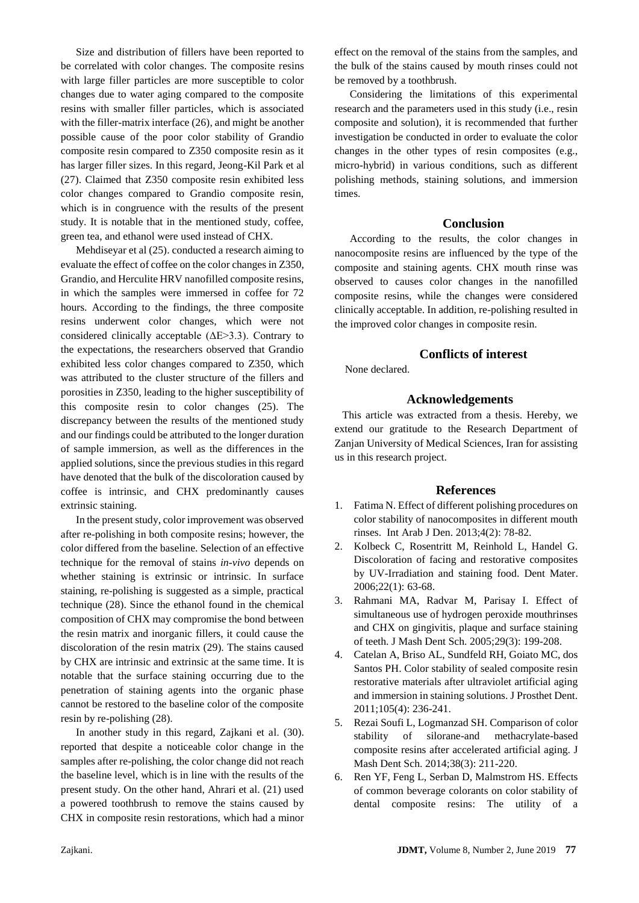Size and distribution of fillers have been reported to be correlated with color changes. The composite resins with large filler particles are more susceptible to color changes due to water aging compared to the composite resins with smaller filler particles, which is associated with the filler-matrix interface (26), and might be another possible cause of the poor color stability of Grandio composite resin compared to Z350 composite resin as it has larger filler sizes. In this regard, Jeong-Kil Park et al (27). Claimed that Z350 composite resin exhibited less color changes compared to Grandio composite resin, which is in congruence with the results of the present study. It is notable that in the mentioned study, coffee, green tea, and ethanol were used instead of CHX.

Mehdiseyar et al (25). conducted a research aiming to evaluate the effect of coffee on the color changes in Z350, Grandio, and Herculite HRV nanofilled composite resins, in which the samples were immersed in coffee for 72 hours. According to the findings, the three composite resins underwent color changes, which were not considered clinically acceptable  $(\Delta E > 3.3)$ . Contrary to the expectations, the researchers observed that Grandio exhibited less color changes compared to Z350, which was attributed to the cluster structure of the fillers and porosities in Z350, leading to the higher susceptibility of this composite resin to color changes (25). The discrepancy between the results of the mentioned study and our findings could be attributed to the longer duration of sample immersion, as well as the differences in the applied solutions, since the previous studies in this regard have denoted that the bulk of the discoloration caused by coffee is intrinsic, and CHX predominantly causes extrinsic staining.

In the present study, color improvement was observed after re-polishing in both composite resins; however, the color differed from the baseline. Selection of an effective technique for the removal of stains *in-vivo* depends on whether staining is extrinsic or intrinsic. In surface staining, re-polishing is suggested as a simple, practical technique (28). Since the ethanol found in the chemical composition of CHX may compromise the bond between the resin matrix and inorganic fillers, it could cause the discoloration of the resin matrix (29). The stains caused by CHX are intrinsic and extrinsic at the same time. It is notable that the surface staining occurring due to the penetration of staining agents into the organic phase cannot be restored to the baseline color of the composite resin by re-polishing (28).

In another study in this regard, Zajkani et al. (30). reported that despite a noticeable color change in the samples after re-polishing, the color change did not reach the baseline level, which is in line with the results of the present study. On the other hand, Ahrari et al. (21) used a powered toothbrush to remove the stains caused by CHX in composite resin restorations, which had a minor

effect on the removal of the stains from the samples, and the bulk of the stains caused by mouth rinses could not be removed by a toothbrush.

Considering the limitations of this experimental research and the parameters used in this study (i.e., resin composite and solution), it is recommended that further investigation be conducted in order to evaluate the color changes in the other types of resin composites (e.g., micro-hybrid) in various conditions, such as different polishing methods, staining solutions, and immersion times.

#### **Conclusion**

According to the results, the color changes in nanocomposite resins are influenced by the type of the composite and staining agents. CHX mouth rinse was observed to causes color changes in the nanofilled composite resins, while the changes were considered clinically acceptable. In addition, re-polishing resulted in the improved color changes in composite resin.

### **Conflicts of interest**

None declared.

#### **Acknowledgements**

This article was extracted from a thesis. Hereby, we extend our gratitude to the Research Department of Zanjan University of Medical Sciences, Iran for assisting us in this research project.

#### **References**

- 1. Fatima N. Effect of different polishing procedures on color stability of nanocomposites in different mouth rinses. Int Arab J Den. 2013;4(2): 78-82.
- 2. Kolbeck C, Rosentritt M, Reinhold L, Handel G. Discoloration of facing and restorative composites by UV-Irradiation and staining food. Dent Mater. 2006;22(1): 63-68.
- 3. Rahmani MA, Radvar M, Parisay I. Effect of simultaneous use of hydrogen peroxide mouthrinses and CHX on gingivitis, plaque and surface staining of teeth. J Mash Dent Sch. 2005;29(3): 199-208.
- 4. Catelan A, Briso AL, Sundfeld RH, Goiato MC, dos Santos PH. Color stability of sealed composite resin restorative materials after ultraviolet artificial aging and immersion in staining solutions. J Prosthet Dent. 2011;105(4): 236-241.
- 5. Rezai Soufi L, Logmanzad SH. Comparison of color stability of silorane-and methacrylate-based composite resins after accelerated artificial aging. J Mash Dent Sch. 2014;38(3): 211-220.
- 6. Ren YF, Feng L, Serban D, Malmstrom HS. Effects of common beverage colorants on color stability of dental composite resins: The utility of a